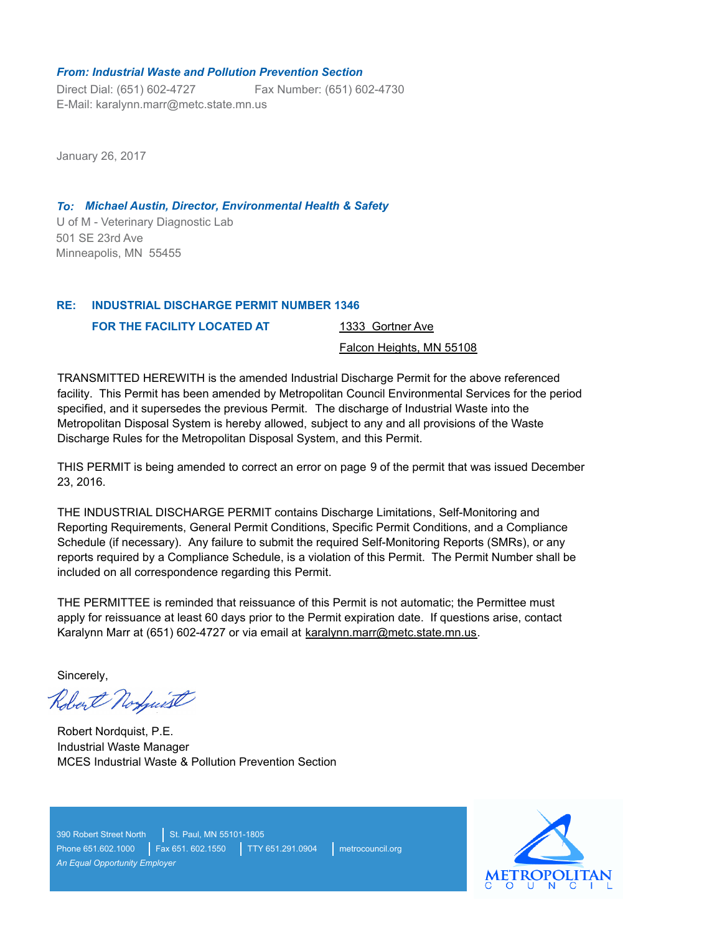### *From: Industrial Waste and Pollution Prevention Section*

Direct Dial: (651) 602-4727 E-Mail: karalynn.marr@metc.state.mn.us Fax Number: (651) 602-4730

January 26, 2017

U of M - Veterinary Diagnostic Lab *To: Michael Austin, Director, Environmental Health & Safety* 501 SE 23rd Ave Minneapolis, MN 55455

#### **INDUSTRIAL DISCHARGE PERMIT NUMBER 1346 RE:**

**FOR THE FACILITY LOCATED AT** 

1333 Gortner Ave

Falcon Heights, MN 55108

TRANSMITTED HEREWITH is the amended Industrial Discharge Permit for the above referenced facility. This Permit has been amended by Metropolitan Council Environmental Services for the period specified, and it supersedes the previous Permit. The discharge of Industrial Waste into the Metropolitan Disposal System is hereby allowed, subject to any and all provisions of the Waste Discharge Rules for the Metropolitan Disposal System, and this Permit.

THIS PERMIT is being amended to correct an error on page 9 of the permit that was issued December 23, 2016.

THE INDUSTRIAL DISCHARGE PERMIT contains Discharge Limitations, Self-Monitoring and Reporting Requirements, General Permit Conditions, Specific Permit Conditions, and a Compliance Schedule (if necessary). Any failure to submit the required Self-Monitoring Reports (SMRs), or any reports required by a Compliance Schedule, is a violation of this Permit. The Permit Number shall be included on all correspondence regarding this Permit.

THE PERMITTEE is reminded that reissuance of this Permit is not automatic; the Permittee must apply for reissuance at least 60 days prior to the Permit expiration date. If questions arise, contact Karalynn Marr at (651) 602-4727 or via email at karalynn.marr@metc.state.mn.us.

Sincerely,

Robert Norfwist

Robert Nordquist, P.E. Industrial Waste Manager MCES Industrial Waste & Pollution Prevention Section

390 Robert Street North St. Paul, MN 55101-1805 Phone 651.602.1000 | Fax 651. 602.1550 | TTY 651.291.0904 | metrocouncil.org *An Equal Opportunity Employer*

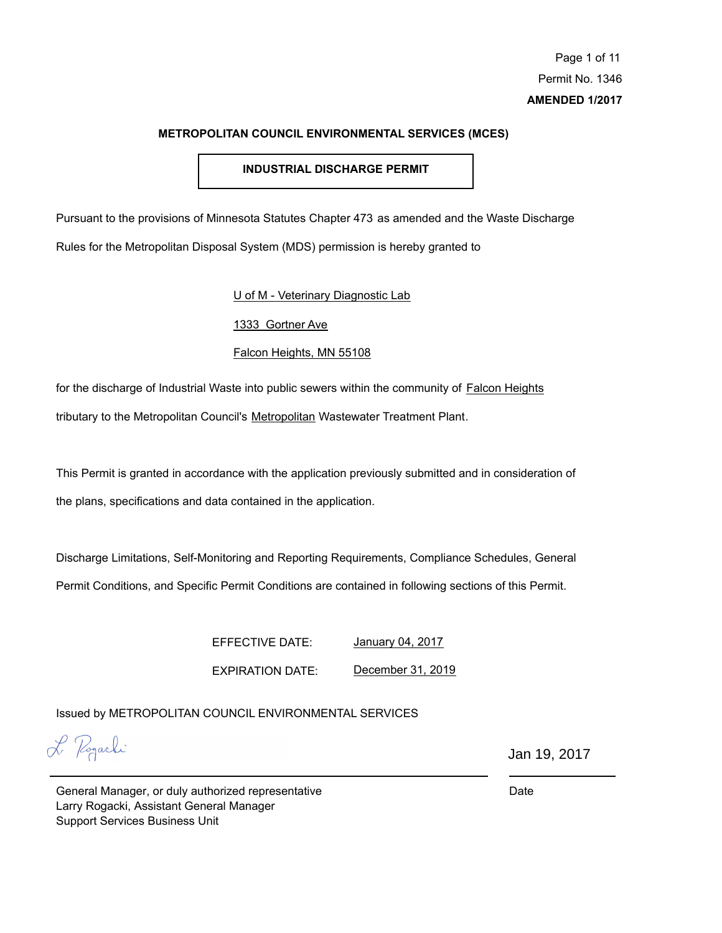# **INDUSTRIAL DISCHARGE PERMIT**

Pursuant to the provisions of Minnesota Statutes Chapter 473 as amended and the Waste Discharge Rules for the Metropolitan Disposal System (MDS) permission is hereby granted to

U of M - Veterinary Diagnostic Lab

1333 Gortner Ave

Falcon Heights, MN 55108

for the discharge of Industrial Waste into public sewers within the community of Falcon Heights tributary to the Metropolitan Council's Metropolitan Wastewater Treatment Plant.

This Permit is granted in accordance with the application previously submitted and in consideration of the plans, specifications and data contained in the application.

Discharge Limitations, Self-Monitoring and Reporting Requirements, Compliance Schedules, General Permit Conditions, and Specific Permit Conditions are contained in following sections of this Permit.

EFFECTIVE DATE:

January 04, 2017

EXPIRATION DATE: December 31, 2019

Issued by METROPOLITAN COUNCIL ENVIRONMENTAL SERVICES

L Pogarki

Jan 19, 2017

General Manager, or duly authorized representative Larry Rogacki, Assistant General Manager Support Services Business Unit

Date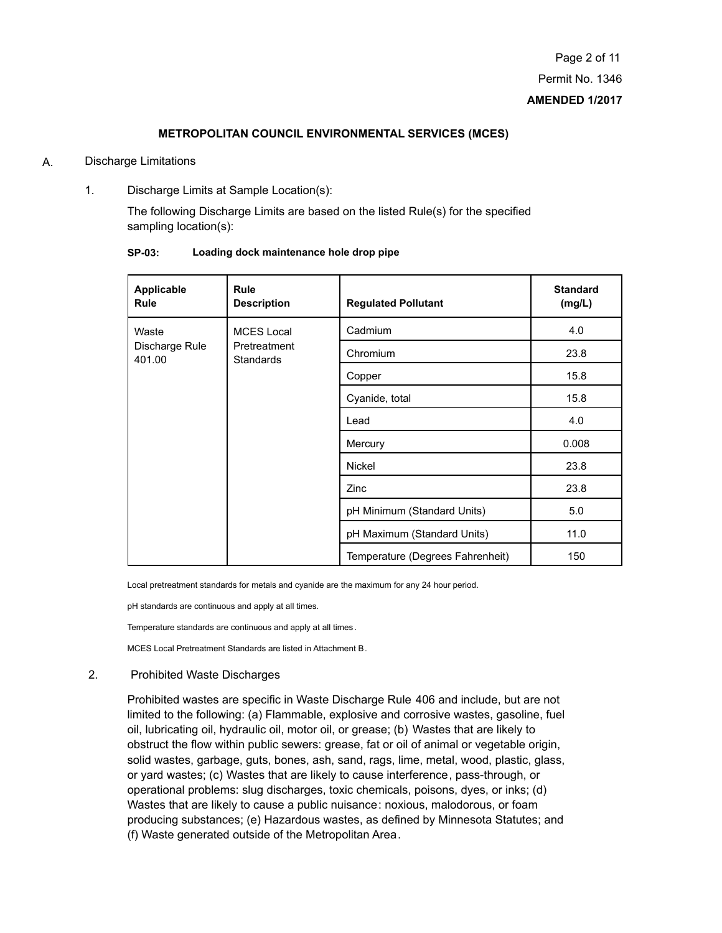- A. Discharge Limitations
	- 1. Discharge Limits at Sample Location(s):

The following Discharge Limits are based on the listed Rule(s) for the specified sampling location(s):

| Applicable<br><b>Rule</b>         | <b>Rule</b><br><b>Description</b>              | <b>Regulated Pollutant</b>       | <b>Standard</b><br>(mg/L) |
|-----------------------------------|------------------------------------------------|----------------------------------|---------------------------|
| Waste<br>Discharge Rule<br>401.00 | <b>MCES Local</b><br>Pretreatment<br>Standards | Cadmium                          | 4.0                       |
|                                   |                                                | Chromium                         | 23.8                      |
|                                   |                                                | Copper                           | 15.8                      |
|                                   |                                                | Cyanide, total                   | 15.8                      |
|                                   |                                                | Lead                             | 4.0                       |
|                                   |                                                | Mercury                          | 0.008                     |
|                                   |                                                | Nickel                           | 23.8                      |
|                                   |                                                | Zinc                             | 23.8                      |
|                                   |                                                | pH Minimum (Standard Units)      | 5.0                       |
|                                   |                                                | pH Maximum (Standard Units)      | 11.0                      |
|                                   |                                                | Temperature (Degrees Fahrenheit) | 150                       |

**SP-03: Loading dock maintenance hole drop pipe**

Local pretreatment standards for metals and cyanide are the maximum for any 24 hour period.

pH standards are continuous and apply at all times.

Temperature standards are continuous and apply at all times .

MCES Local Pretreatment Standards are listed in Attachment B.

#### 2. Prohibited Waste Discharges

Prohibited wastes are specific in Waste Discharge Rule 406 and include, but are not limited to the following: (a) Flammable, explosive and corrosive wastes, gasoline, fuel oil, lubricating oil, hydraulic oil, motor oil, or grease; (b) Wastes that are likely to obstruct the flow within public sewers: grease, fat or oil of animal or vegetable origin, solid wastes, garbage, guts, bones, ash, sand, rags, lime, metal, wood, plastic, glass, or yard wastes; (c) Wastes that are likely to cause interference, pass-through, or operational problems: slug discharges, toxic chemicals, poisons, dyes, or inks; (d) Wastes that are likely to cause a public nuisance: noxious, malodorous, or foam producing substances; (e) Hazardous wastes, as defined by Minnesota Statutes; and (f) Waste generated outside of the Metropolitan Area.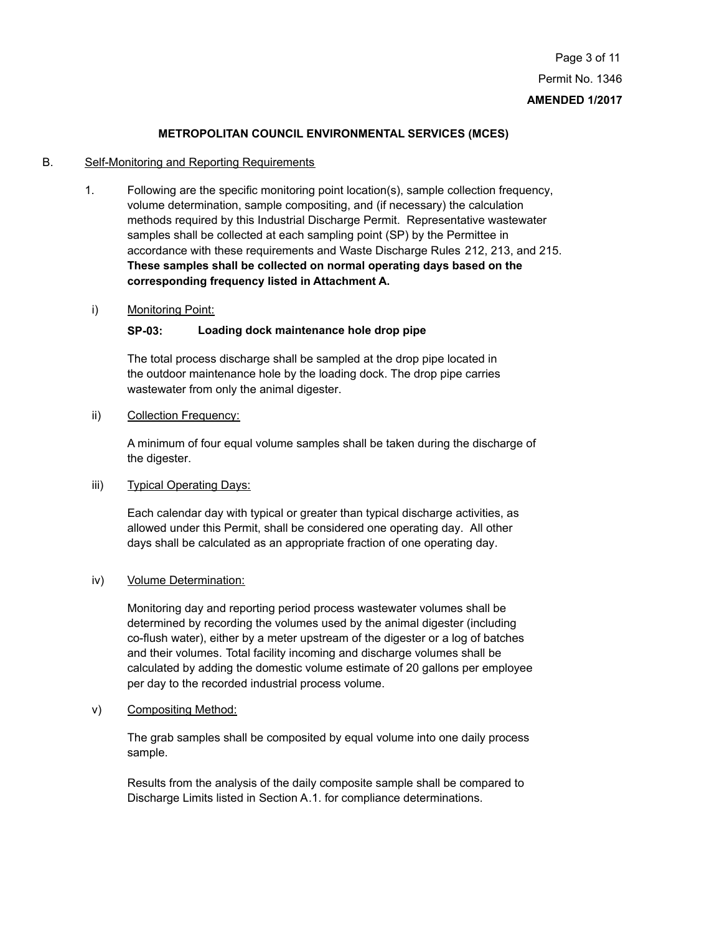# B. Self-Monitoring and Reporting Requirements

- 1. Following are the specific monitoring point location(s), sample collection frequency, volume determination, sample compositing, and (if necessary) the calculation methods required by this Industrial Discharge Permit. Representative wastewater samples shall be collected at each sampling point (SP) by the Permittee in accordance with these requirements and Waste Discharge Rules 212, 213, and 215. **These samples shall be collected on normal operating days based on the corresponding frequency listed in Attachment A.**
- i) Monitoring Point:

# **SP-03: Loading dock maintenance hole drop pipe**

The total process discharge shall be sampled at the drop pipe located in the outdoor maintenance hole by the loading dock. The drop pipe carries wastewater from only the animal digester.

# ii) Collection Frequency:

A minimum of four equal volume samples shall be taken during the discharge of the digester.

# iii) Typical Operating Days:

Each calendar day with typical or greater than typical discharge activities, as allowed under this Permit, shall be considered one operating day. All other days shall be calculated as an appropriate fraction of one operating day.

# iv) Volume Determination:

Monitoring day and reporting period process wastewater volumes shall be determined by recording the volumes used by the animal digester (including co-flush water), either by a meter upstream of the digester or a log of batches and their volumes. Total facility incoming and discharge volumes shall be calculated by adding the domestic volume estimate of 20 gallons per employee per day to the recorded industrial process volume.

# v) Compositing Method:

The grab samples shall be composited by equal volume into one daily process sample.

Results from the analysis of the daily composite sample shall be compared to Discharge Limits listed in Section A.1. for compliance determinations.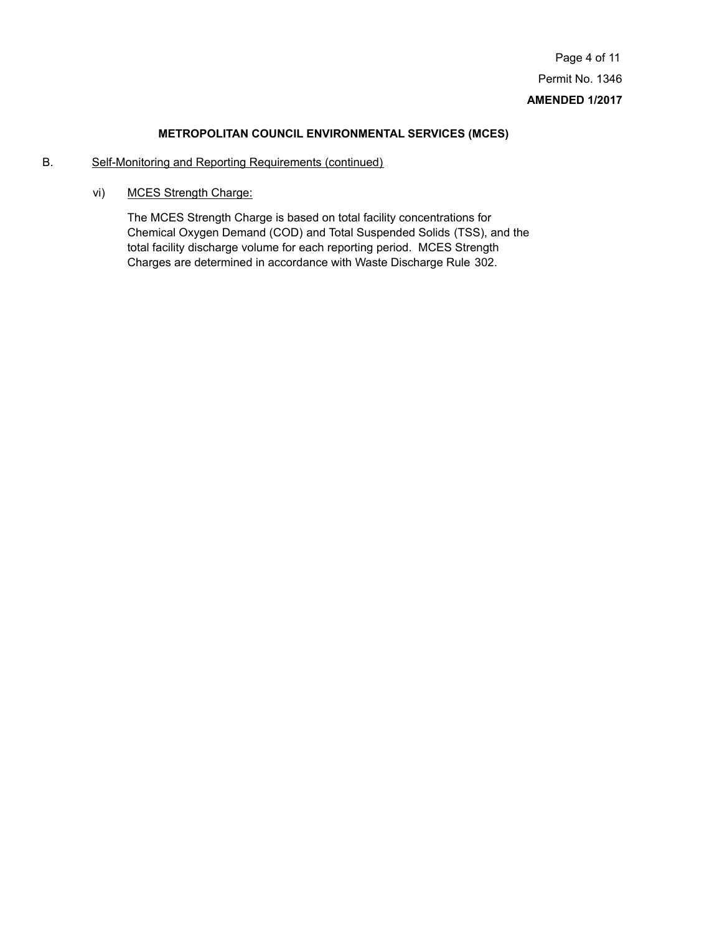# B. Self-Monitoring and Reporting Requirements (continued)

vi) MCES Strength Charge:

The MCES Strength Charge is based on total facility concentrations for Chemical Oxygen Demand (COD) and Total Suspended Solids (TSS), and the total facility discharge volume for each reporting period. MCES Strength Charges are determined in accordance with Waste Discharge Rule 302.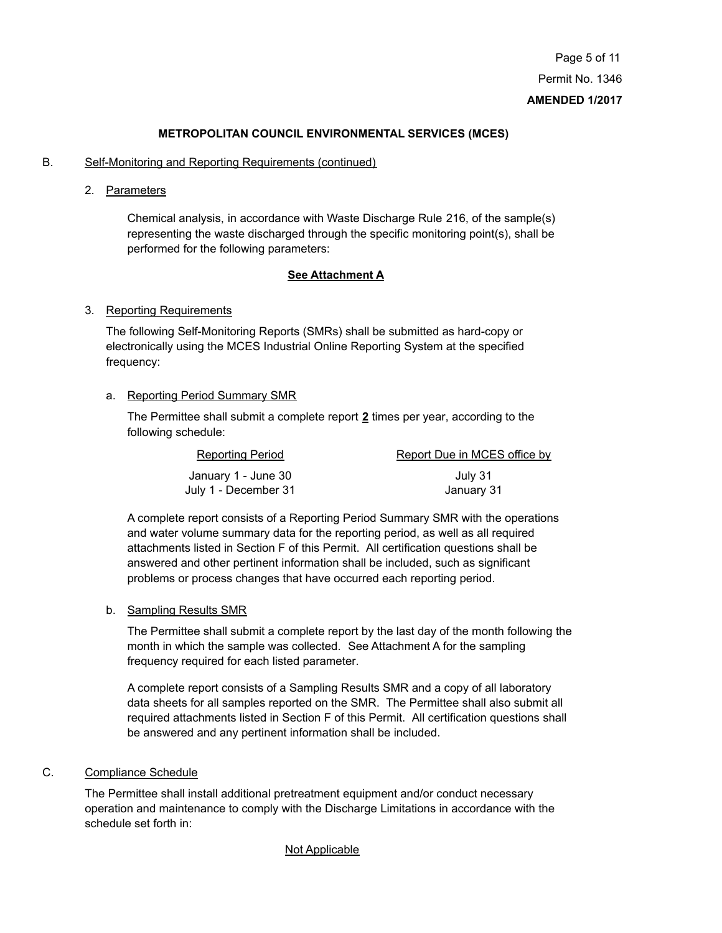#### B. Self-Monitoring and Reporting Requirements (continued)

2. Parameters

Chemical analysis, in accordance with Waste Discharge Rule 216, of the sample(s) representing the waste discharged through the specific monitoring point(s), shall be performed for the following parameters:

#### **See Attachment A**

#### 3. Reporting Requirements

The following Self-Monitoring Reports (SMRs) shall be submitted as hard-copy or electronically using the MCES Industrial Online Reporting System at the specified frequency:

# a. Reporting Period Summary SMR

The Permittee shall submit a complete report **2** times per year, according to the following schedule:

| <b>Reporting Period</b> | Report Due in MCES office by |  |
|-------------------------|------------------------------|--|
| January 1 - June 30     | July 31                      |  |
| July 1 - December 31    | January 31                   |  |

A complete report consists of a Reporting Period Summary SMR with the operations and water volume summary data for the reporting period, as well as all required attachments listed in Section F of this Permit. All certification questions shall be answered and other pertinent information shall be included, such as significant problems or process changes that have occurred each reporting period.

#### b. Sampling Results SMR

The Permittee shall submit a complete report by the last day of the month following the month in which the sample was collected. See Attachment A for the sampling frequency required for each listed parameter.

A complete report consists of a Sampling Results SMR and a copy of all laboratory data sheets for all samples reported on the SMR. The Permittee shall also submit all required attachments listed in Section F of this Permit. All certification questions shall be answered and any pertinent information shall be included.

# C. Compliance Schedule

The Permittee shall install additional pretreatment equipment and/or conduct necessary operation and maintenance to comply with the Discharge Limitations in accordance with the schedule set forth in:

#### Not Applicable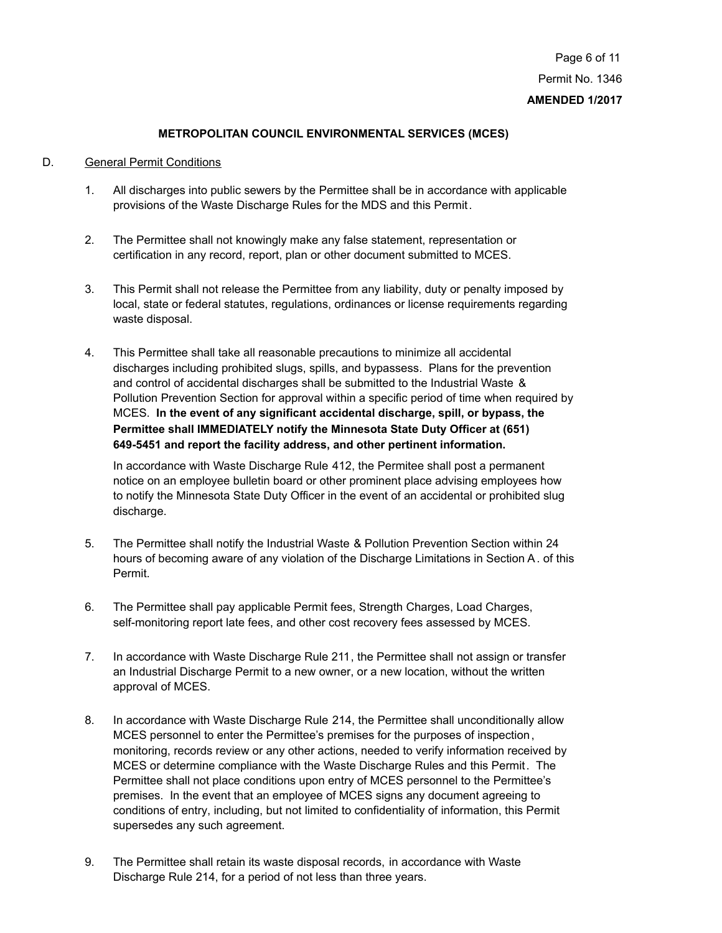# D. General Permit Conditions

- 1. All discharges into public sewers by the Permittee shall be in accordance with applicable provisions of the Waste Discharge Rules for the MDS and this Permit.
- 2. The Permittee shall not knowingly make any false statement, representation or certification in any record, report, plan or other document submitted to MCES.
- 3. This Permit shall not release the Permittee from any liability, duty or penalty imposed by local, state or federal statutes, regulations, ordinances or license requirements regarding waste disposal.
- 4. This Permittee shall take all reasonable precautions to minimize all accidental discharges including prohibited slugs, spills, and bypassess. Plans for the prevention and control of accidental discharges shall be submitted to the Industrial Waste & Pollution Prevention Section for approval within a specific period of time when required by MCES. **In the event of any significant accidental discharge, spill, or bypass, the Permittee shall IMMEDIATELY notify the Minnesota State Duty Officer at (651) 649-5451 and report the facility address, and other pertinent information.**

In accordance with Waste Discharge Rule 412, the Permitee shall post a permanent notice on an employee bulletin board or other prominent place advising employees how to notify the Minnesota State Duty Officer in the event of an accidental or prohibited slug discharge.

- 5. The Permittee shall notify the Industrial Waste & Pollution Prevention Section within 24 hours of becoming aware of any violation of the Discharge Limitations in Section A. of this Permit.
- 6. The Permittee shall pay applicable Permit fees, Strength Charges, Load Charges, self-monitoring report late fees, and other cost recovery fees assessed by MCES.
- 7. In accordance with Waste Discharge Rule 211, the Permittee shall not assign or transfer an Industrial Discharge Permit to a new owner, or a new location, without the written approval of MCES.
- 8. In accordance with Waste Discharge Rule 214, the Permittee shall unconditionally allow MCES personnel to enter the Permittee's premises for the purposes of inspection, monitoring, records review or any other actions, needed to verify information received by MCES or determine compliance with the Waste Discharge Rules and this Permit. The Permittee shall not place conditions upon entry of MCES personnel to the Permittee's premises. In the event that an employee of MCES signs any document agreeing to conditions of entry, including, but not limited to confidentiality of information, this Permit supersedes any such agreement.
- 9. The Permittee shall retain its waste disposal records, in accordance with Waste Discharge Rule 214, for a period of not less than three years.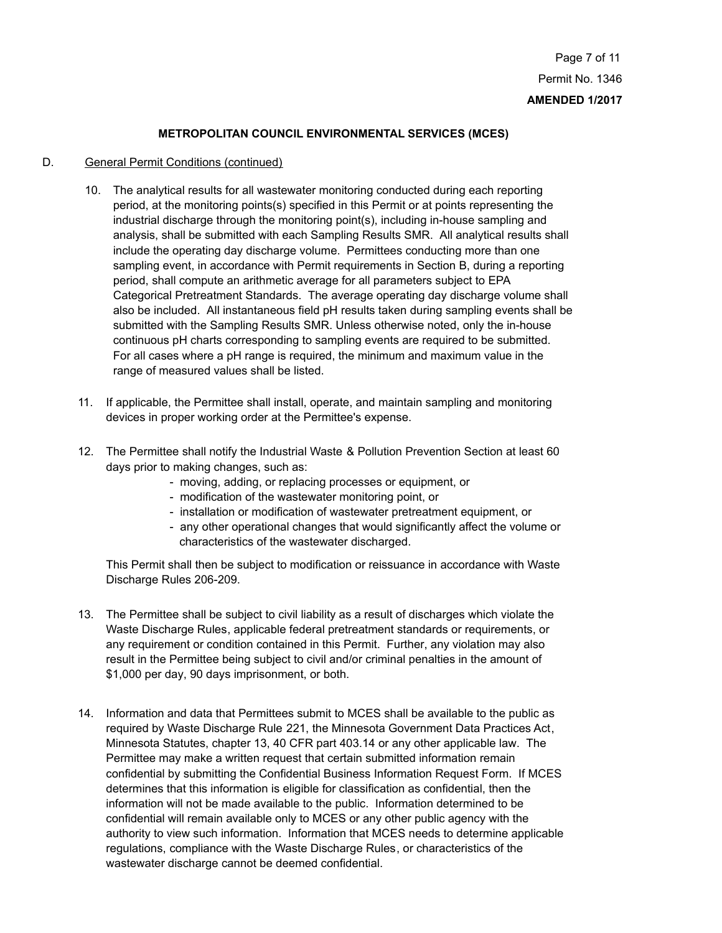#### D. General Permit Conditions (continued)

- 10. The analytical results for all wastewater monitoring conducted during each reporting period, at the monitoring points(s) specified in this Permit or at points representing the industrial discharge through the monitoring point(s), including in-house sampling and analysis, shall be submitted with each Sampling Results SMR. All analytical results shall include the operating day discharge volume. Permittees conducting more than one sampling event, in accordance with Permit requirements in Section B, during a reporting period, shall compute an arithmetic average for all parameters subject to EPA Categorical Pretreatment Standards. The average operating day discharge volume shall also be included. All instantaneous field pH results taken during sampling events shall be submitted with the Sampling Results SMR. Unless otherwise noted, only the in-house continuous pH charts corresponding to sampling events are required to be submitted. For all cases where a pH range is required, the minimum and maximum value in the range of measured values shall be listed.
- 11. If applicable, the Permittee shall install, operate, and maintain sampling and monitoring devices in proper working order at the Permittee's expense.
- 12. The Permittee shall notify the Industrial Waste & Pollution Prevention Section at least 60 days prior to making changes, such as:
	- moving, adding, or replacing processes or equipment, or
	- modification of the wastewater monitoring point, or
	- installation or modification of wastewater pretreatment equipment, or
	- any other operational changes that would significantly affect the volume or characteristics of the wastewater discharged.

This Permit shall then be subject to modification or reissuance in accordance with Waste Discharge Rules 206-209.

- 13. The Permittee shall be subject to civil liability as a result of discharges which violate the Waste Discharge Rules, applicable federal pretreatment standards or requirements, or any requirement or condition contained in this Permit. Further, any violation may also result in the Permittee being subject to civil and/or criminal penalties in the amount of \$1,000 per day, 90 days imprisonment, or both.
- 14. Information and data that Permittees submit to MCES shall be available to the public as required by Waste Discharge Rule 221, the Minnesota Government Data Practices Act, Minnesota Statutes, chapter 13, 40 CFR part 403.14 or any other applicable law. The Permittee may make a written request that certain submitted information remain confidential by submitting the Confidential Business Information Request Form. If MCES determines that this information is eligible for classification as confidential, then the information will not be made available to the public. Information determined to be confidential will remain available only to MCES or any other public agency with the authority to view such information. Information that MCES needs to determine applicable regulations, compliance with the Waste Discharge Rules, or characteristics of the wastewater discharge cannot be deemed confidential.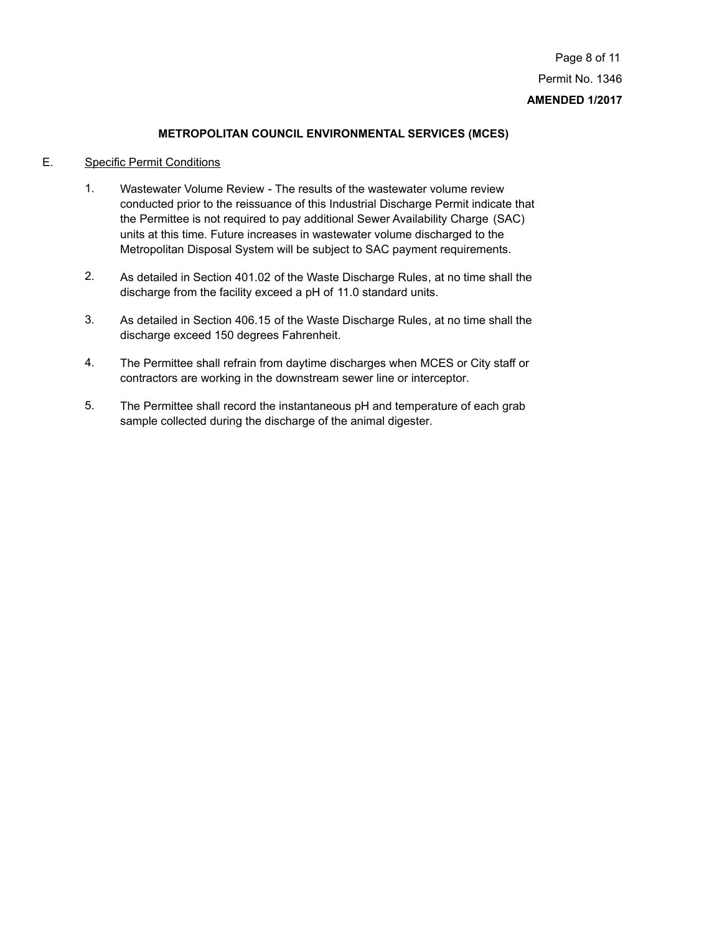# E. Specific Permit Conditions

- Wastewater Volume Review The results of the wastewater volume review conducted prior to the reissuance of this Industrial Discharge Permit indicate that the Permittee is not required to pay additional Sewer Availability Charge (SAC) units at this time. Future increases in wastewater volume discharged to the Metropolitan Disposal System will be subject to SAC payment requirements. 1.
- As detailed in Section 401.02 of the Waste Discharge Rules, at no time shall the discharge from the facility exceed a pH of 11.0 standard units. 2.
- As detailed in Section 406.15 of the Waste Discharge Rules, at no time shall the discharge exceed 150 degrees Fahrenheit. 3.
- The Permittee shall refrain from daytime discharges when MCES or City staff or contractors are working in the downstream sewer line or interceptor. 4.
- The Permittee shall record the instantaneous pH and temperature of each grab sample collected during the discharge of the animal digester. 5.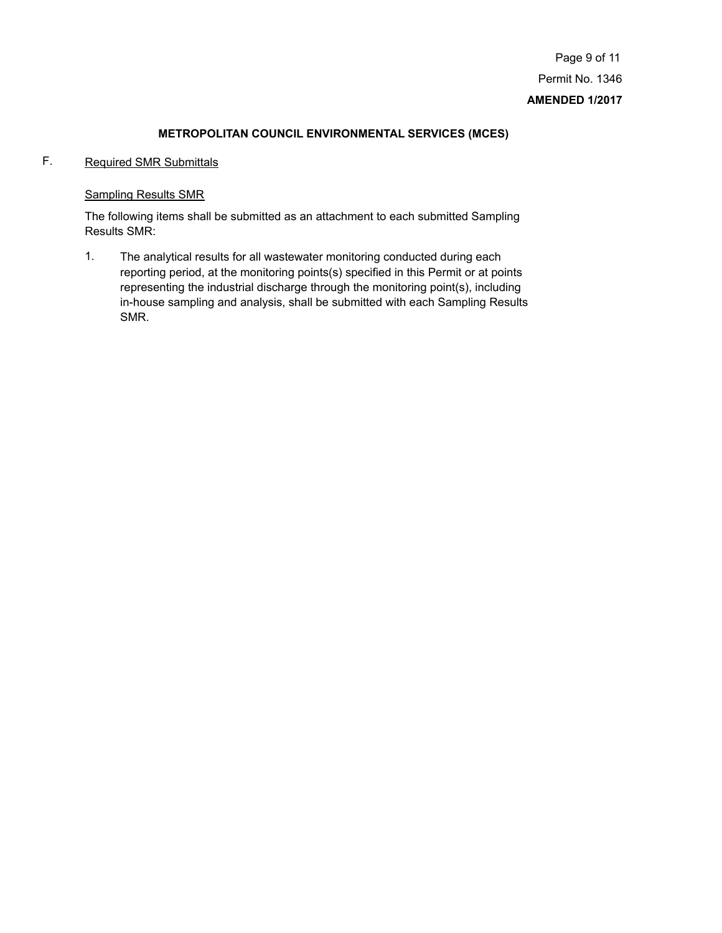# F. Required SMR Submittals

# Sampling Results SMR

The following items shall be submitted as an attachment to each submitted Sampling Results SMR:

The analytical results for all wastewater monitoring conducted during each reporting period, at the monitoring points(s) specified in this Permit or at points representing the industrial discharge through the monitoring point(s), including in-house sampling and analysis, shall be submitted with each Sampling Results SMR. 1.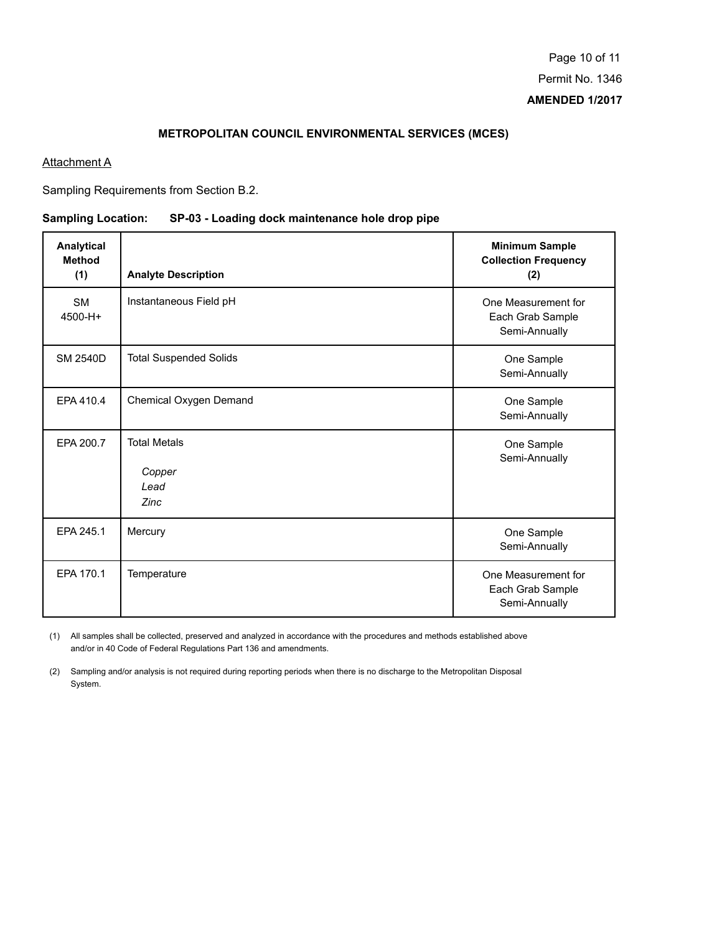### **Attachment A**

Sampling Requirements from Section B.2.

# **Sampling Location: SP-03 - Loading dock maintenance hole drop pipe**

| Analytical<br><b>Method</b><br>(1) | <b>Analyte Description</b>                    | <b>Minimum Sample</b><br><b>Collection Frequency</b><br>(2) |
|------------------------------------|-----------------------------------------------|-------------------------------------------------------------|
| <b>SM</b><br>4500-H+               | Instantaneous Field pH                        | One Measurement for<br>Each Grab Sample<br>Semi-Annually    |
| <b>SM 2540D</b>                    | <b>Total Suspended Solids</b>                 | One Sample<br>Semi-Annually                                 |
| EPA 410.4                          | Chemical Oxygen Demand                        | One Sample<br>Semi-Annually                                 |
| EPA 200.7                          | <b>Total Metals</b><br>Copper<br>Lead<br>Zinc | One Sample<br>Semi-Annually                                 |
| EPA 245.1                          | Mercury                                       | One Sample<br>Semi-Annually                                 |
| EPA 170.1                          | Temperature                                   | One Measurement for<br>Each Grab Sample<br>Semi-Annually    |

All samples shall be collected, preserved and analyzed in accordance with the procedures and methods established above (1) and/or in 40 Code of Federal Regulations Part 136 and amendments.

(2) Sampling and/or analysis is not required during reporting periods when there is no discharge to the Metropolitan Disposal System.